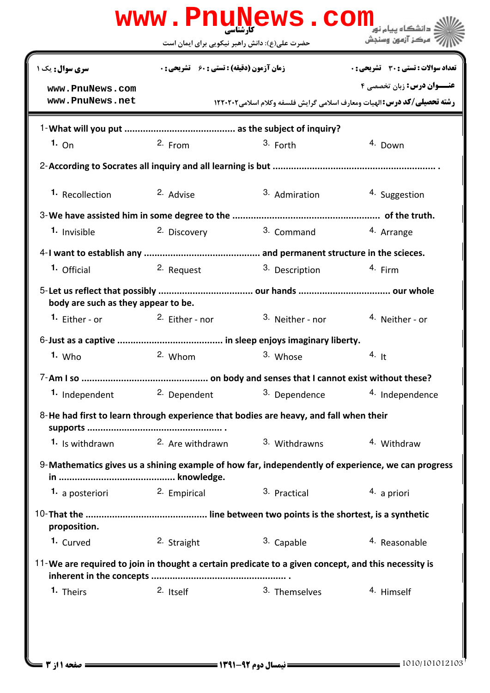|                                                                                                     |                                                    |                           | مركز آزمون وسنجش                                                                                                     |  |  |
|-----------------------------------------------------------------------------------------------------|----------------------------------------------------|---------------------------|----------------------------------------------------------------------------------------------------------------------|--|--|
|                                                                                                     | حضرت علی(ع): دانش راهبر نیکویی برای ایمان است      |                           |                                                                                                                      |  |  |
| سری سوال: یک ۱                                                                                      | <b>زمان آزمون (دقیقه) : تستی : 60 ٪ تشریحی : 0</b> |                           | <b>تعداد سوالات : تستی : 30 ٪ تشریحی : 0</b>                                                                         |  |  |
| www.PnuNews.com<br>www.PnuNews.net                                                                  |                                                    |                           | <b>عنــوان درس: زبان تخصصی ۴</b><br><b>رشته تحصیلی/کد درس: ا</b> لهیات ومعارف اسلامی گرایش فلسفه وکلام اسلامی1۲۲۰۲۰۲ |  |  |
|                                                                                                     |                                                    |                           |                                                                                                                      |  |  |
| 1. On                                                                                               | $2.$ From                                          | 3. Forth                  | 4. Down                                                                                                              |  |  |
|                                                                                                     |                                                    |                           |                                                                                                                      |  |  |
| 1. Recollection                                                                                     | 2. Advise                                          | 3. Admiration             | 4. Suggestion                                                                                                        |  |  |
|                                                                                                     |                                                    |                           |                                                                                                                      |  |  |
| 1. Invisible                                                                                        | 2. Discovery                                       | 3. Command                | 4. Arrange                                                                                                           |  |  |
|                                                                                                     |                                                    |                           |                                                                                                                      |  |  |
| 1. Official                                                                                         | <sup>2.</sup> Request                              | <sup>3.</sup> Description | <sup>4</sup> Firm                                                                                                    |  |  |
| body are such as they appear to be.                                                                 |                                                    |                           |                                                                                                                      |  |  |
| <sup>1.</sup> Either - or                                                                           | <sup>2.</sup> Either - nor                         | 3. Neither - nor          | <sup>4</sup> Neither - or                                                                                            |  |  |
|                                                                                                     |                                                    |                           |                                                                                                                      |  |  |
| $1.$ Who                                                                                            | 2. Whom                                            | 3. Whose                  | 4. It                                                                                                                |  |  |
|                                                                                                     |                                                    |                           |                                                                                                                      |  |  |
| 1. Independent                                                                                      | 2. Dependent                                       | 3. Dependence             | 4. Independence                                                                                                      |  |  |
| 8-He had first to learn through experience that bodies are heavy, and fall when their               |                                                    |                           |                                                                                                                      |  |  |
| <b>1.</b> Is withdrawn                                                                              | 2. Are withdrawn                                   | 3. Withdrawns             | 4. Withdraw                                                                                                          |  |  |
|                                                                                                     |                                                    |                           | 9-Mathematics gives us a shining example of how far, independently of experience, we can progress                    |  |  |
| 1. a posteriori                                                                                     | 2. Empirical                                       | 3. Practical              | 4. a priori                                                                                                          |  |  |
| proposition.                                                                                        |                                                    |                           |                                                                                                                      |  |  |
| 1. Curved                                                                                           | 2. Straight                                        | 3. Capable                | 4. Reasonable                                                                                                        |  |  |
| 11-We are required to join in thought a certain predicate to a given concept, and this necessity is |                                                    |                           |                                                                                                                      |  |  |
|                                                                                                     | 2. Itself                                          | 3. Themselves             | 4. Himself                                                                                                           |  |  |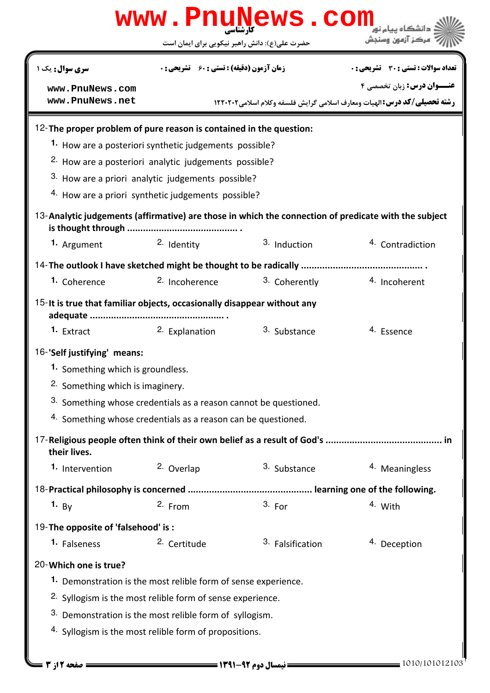| www.PnuNews.com<br>دانشگاه سام نر                                                                    |                                                                       |                  |                                                                                   |  |  |  |  |
|------------------------------------------------------------------------------------------------------|-----------------------------------------------------------------------|------------------|-----------------------------------------------------------------------------------|--|--|--|--|
|                                                                                                      | حضرت علی(ع): دانش راهبر نیکویی برای ایمان است                         |                  | مركز آزمون وسنجش                                                                  |  |  |  |  |
| <b>سری سوال :</b> یک ۱                                                                               | <b>زمان آزمون (دقیقه) : تستی : 60 ٪ تشریحی : 0</b>                    |                  | <b>تعداد سوالات : تستی : 30 ٪ تشریحی : 0</b>                                      |  |  |  |  |
| www.PnuNews.com                                                                                      |                                                                       |                  | عنــوان درس: زبان تخصصي ۴                                                         |  |  |  |  |
| www.PnuNews.net                                                                                      |                                                                       |                  | <b>رشته تحصیلی/کد درس: ا</b> لهیات ومعارف اسلامی گرایش فلسفه وکلام اسلامی ۱۲۲۰۲۰۲ |  |  |  |  |
| 12-The proper problem of pure reason is contained in the question:                                   |                                                                       |                  |                                                                                   |  |  |  |  |
|                                                                                                      | 1. How are a posteriori synthetic judgements possible?                |                  |                                                                                   |  |  |  |  |
|                                                                                                      | <sup>2.</sup> How are a posteriori analytic judgements possible?      |                  |                                                                                   |  |  |  |  |
|                                                                                                      | 3. How are a priori analytic judgements possible?                     |                  |                                                                                   |  |  |  |  |
|                                                                                                      | <sup>4.</sup> How are a priori synthetic judgements possible?         |                  |                                                                                   |  |  |  |  |
| 13-Analytic judgements (affirmative) are those in which the connection of predicate with the subject |                                                                       |                  |                                                                                   |  |  |  |  |
| 1. Argument                                                                                          | 2. Identity                                                           | 3. Induction     | 4. Contradiction                                                                  |  |  |  |  |
|                                                                                                      |                                                                       |                  |                                                                                   |  |  |  |  |
| 1. Coherence                                                                                         | <sup>2.</sup> Incoherence                                             | 3. Coherently    | 4. Incoherent                                                                     |  |  |  |  |
| 15- It is true that familiar objects, occasionally disappear without any                             |                                                                       |                  |                                                                                   |  |  |  |  |
| <sup>1.</sup> Extract                                                                                | 2. Explanation                                                        | 3. Substance     | 4. Essence                                                                        |  |  |  |  |
| 16-'Self justifying' means:                                                                          |                                                                       |                  |                                                                                   |  |  |  |  |
|                                                                                                      | 1. Something which is groundless.                                     |                  |                                                                                   |  |  |  |  |
|                                                                                                      | <sup>2</sup> Something which is imaginery.                            |                  |                                                                                   |  |  |  |  |
| 3. Something whose credentials as a reason cannot be questioned.                                     |                                                                       |                  |                                                                                   |  |  |  |  |
| 4. Something whose credentials as a reason can be questioned.                                        |                                                                       |                  |                                                                                   |  |  |  |  |
| their lives.                                                                                         |                                                                       |                  |                                                                                   |  |  |  |  |
| 1. Intervention                                                                                      | 2. Overlap                                                            | 3. Substance     | 4. Meaningless                                                                    |  |  |  |  |
|                                                                                                      |                                                                       |                  |                                                                                   |  |  |  |  |
| 1. $By$                                                                                              | $2.$ From                                                             | 3. For           | 4. With                                                                           |  |  |  |  |
| 19-The opposite of 'falsehood' is:                                                                   |                                                                       |                  |                                                                                   |  |  |  |  |
| 1. Falseness                                                                                         | 2. Certitude                                                          | 3. Falsification | 4. Deception                                                                      |  |  |  |  |
| 20-Which one is true?                                                                                |                                                                       |                  |                                                                                   |  |  |  |  |
|                                                                                                      | 1. Demonstration is the most relible form of sense experience.        |                  |                                                                                   |  |  |  |  |
|                                                                                                      | <sup>2.</sup> Syllogism is the most relible form of sense experience. |                  |                                                                                   |  |  |  |  |
|                                                                                                      | 3. Demonstration is the most relible form of syllogism.               |                  |                                                                                   |  |  |  |  |
| <sup>4</sup> Syllogism is the most relible form of propositions.                                     |                                                                       |                  |                                                                                   |  |  |  |  |
|                                                                                                      |                                                                       |                  |                                                                                   |  |  |  |  |